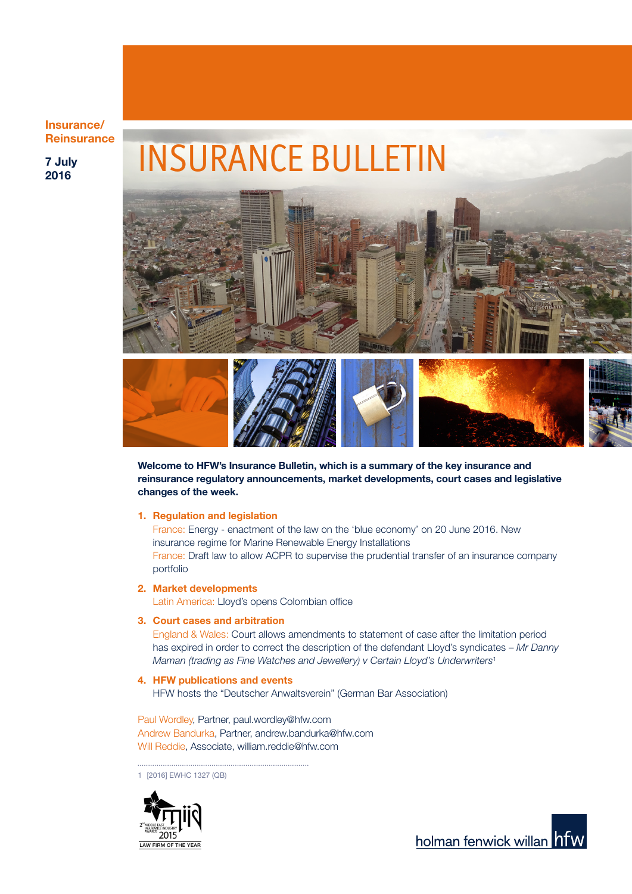### Insurance/ **Reinsurance**

7 July 2016

# INSURANCE BULLETIN



Welcome to HFW's Insurance Bulletin, which is a summary of the key insurance and reinsurance regulatory announcements, market developments, court cases and legislative changes of the week.

#### 1. Regulation and legislation

France: Energy - enactment of the law on the 'blue economy' on 20 June 2016. New insurance regime for Marine Renewable Energy Installations France: Draft law to allow ACPR to supervise the prudential transfer of an insurance company portfolio

2. Market developments

Latin America: Lloyd's opens Colombian office

### 3. Court cases and arbitration

England & Wales: Court allows amendments to statement of case after the limitation period has expired in order to correct the description of the defendant Lloyd's syndicates – *Mr Danny Maman (trading as Fine Watches and Jewellery) v Certain Lloyd's Underwriters*<sup>1</sup>

#### 4. HFW publications and events

HFW hosts the "Deutscher Anwaltsverein" (German Bar Association)

Paul Wordley, Partner, paul.wordley@hfw.com Andrew Bandurka, Partner, andrew.bandurka@hfw.com Will Reddie, Associate, william.reddie@hfw.com

1 [2016] EWHC 1327 (QB)



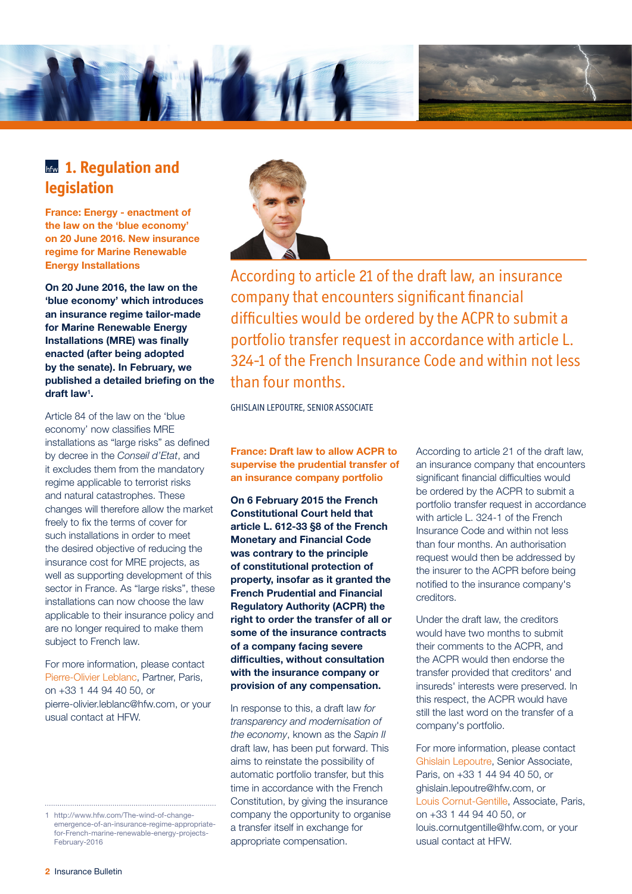

# **hfw 1. Requlation and legislation**

France: Energy - enactment of the law on the 'blue economy' on 20 June 2016. New insurance regime for Marine Renewable Energy Installations

On 20 June 2016, the law on the 'blue economy' which introduces an insurance regime tailor-made for Marine Renewable Energy Installations (MRE) was finally enacted (after being adopted by the senate). In February, we published a detailed briefing on the draft law1 .

Article 84 of the law on the 'blue economy' now classifies MRE installations as "large risks" as defined by decree in the *Conseil d'Etat*, and it excludes them from the mandatory regime applicable to terrorist risks and natural catastrophes. These changes will therefore allow the market freely to fix the terms of cover for such installations in order to meet the desired objective of reducing the insurance cost for MRE projects, as well as supporting development of this sector in France. As "large risks", these installations can now choose the law applicable to their insurance policy and are no longer required to make them subject to French law.

For more information, please contact Pierre-Olivier Leblanc, Partner, Paris, on +33 1 44 94 40 50, or pierre-olivier.leblanc@hfw.com, or your usual contact at HFW.



According to article 21 of the draft law, an insurance company that encounters significant financial difficulties would be ordered by the ACPR to submit a portfolio transfer request in accordance with article L. 324-1 of the French Insurance Code and within not less than four months.

GHISLAIN LEPOUTRE, SENIOR ASSOCIATE

France: Draft law to allow ACPR to supervise the prudential transfer of an insurance company portfolio

On 6 February 2015 the French Constitutional Court held that article L. 612-33 §8 of the French Monetary and Financial Code was contrary to the principle of constitutional protection of property, insofar as it granted the French Prudential and Financial Regulatory Authority (ACPR) the right to order the transfer of all or some of the insurance contracts of a company facing severe difficulties, without consultation with the insurance company or provision of any compensation.

In response to this, a draft law *for transparency and modernisation of the economy*, known as the *Sapin II* draft law, has been put forward. This aims to reinstate the possibility of automatic portfolio transfer, but this time in accordance with the French Constitution, by giving the insurance company the opportunity to organise a transfer itself in exchange for appropriate compensation.

According to article 21 of the draft law, an insurance company that encounters significant financial difficulties would be ordered by the ACPR to submit a portfolio transfer request in accordance with article L. 324-1 of the French Insurance Code and within not less than four months. An authorisation request would then be addressed by the insurer to the ACPR before being notified to the insurance company's creditors.

Under the draft law, the creditors would have two months to submit their comments to the ACPR, and the ACPR would then endorse the transfer provided that creditors' and insureds' interests were preserved. In this respect, the ACPR would have still the last word on the transfer of a company's portfolio.

For more information, please contact Ghislain Lepoutre, Senior Associate, Paris, on +33 1 44 94 40 50, or ghislain.lepoutre@hfw.com, or Louis Cornut-Gentille, Associate, Paris, on +33 1 44 94 40 50, or louis.cornutgentille@hfw.com, or your usual contact at HFW.

<sup>1</sup> [http://www.hfw.com/The-wind-of-change](http://www.hfw.com/The-wind-of-change-emergence-of-an-insurance-regime-appropriate-for-French-marine-renewable-energy-projects-February-2016)[emergence-of-an-insurance-regime-appropriate](http://www.hfw.com/The-wind-of-change-emergence-of-an-insurance-regime-appropriate-for-French-marine-renewable-energy-projects-February-2016)[for-French-marine-renewable-energy-projects-](http://www.hfw.com/The-wind-of-change-emergence-of-an-insurance-regime-appropriate-for-French-marine-renewable-energy-projects-February-2016)[February-2016](http://www.hfw.com/The-wind-of-change-emergence-of-an-insurance-regime-appropriate-for-French-marine-renewable-energy-projects-February-2016)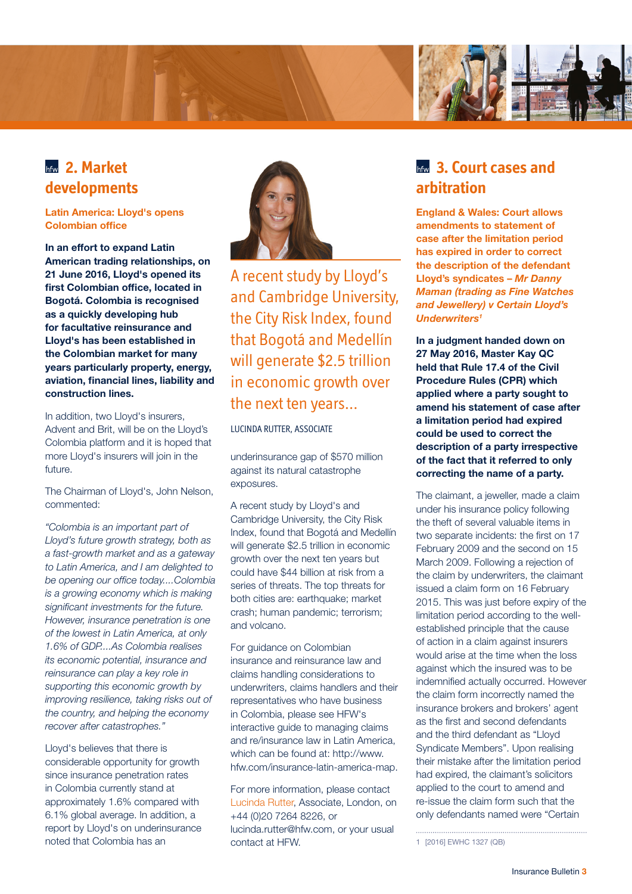

# **2. Market developments**

### Latin America: Lloyd's opens Colombian office

In an effort to expand Latin American trading relationships, on 21 June 2016, Lloyd's opened its first Colombian office, located in Bogotá. Colombia is recognised as a quickly developing hub for facultative reinsurance and Lloyd's has been established in the Colombian market for many years particularly property, energy, aviation, financial lines, liability and construction lines.

In addition, two Lloyd's insurers, Advent and Brit, will be on the Lloyd's Colombia platform and it is hoped that more Lloyd's insurers will join in the future.

The Chairman of Lloyd's, John Nelson, commented:

*"Colombia is an important part of Lloyd's future growth strategy, both as a fast-growth market and as a gateway to Latin America, and I am delighted to be opening our office today....Colombia is a growing economy which is making significant investments for the future. However, insurance penetration is one of the lowest in Latin America, at only 1.6% of GDP....As Colombia realises its economic potential, insurance and reinsurance can play a key role in supporting this economic growth by improving resilience, taking risks out of the country, and helping the economy recover after catastrophes."*

Lloyd's believes that there is considerable opportunity for growth since insurance penetration rates in Colombia currently stand at approximately 1.6% compared with 6.1% global average. In addition, a report by Lloyd's on underinsurance noted that Colombia has an



A recent study by Lloyd's and Cambridge University, the City Risk Index, found that Bogotá and Medellín will generate \$2.5 trillion in economic growth over the next ten years...

LUCINDA RUTTER, ASSOCIATE

underinsurance gap of \$570 million against its natural catastrophe exposures.

A recent study by Lloyd's and Cambridge University, the City Risk Index, found that Bogotá and Medellín will generate \$2.5 trillion in economic growth over the next ten years but could have \$44 billion at risk from a series of threats. The top threats for both cities are: earthquake; market crash; human pandemic; terrorism; and volcano.

For guidance on Colombian insurance and reinsurance law and claims handling considerations to underwriters, claims handlers and their representatives who have business in Colombia, please see HFW's interactive guide to managing claims and re/insurance law in Latin America, which can be found at: [http://www.](http://www.hfw.com/insurance-latin-america-map) [hfw.com/insurance-latin-america-map](http://www.hfw.com/insurance-latin-america-map).

For more information, please contact Lucinda Rutter, Associate, London, on +44 (0)20 7264 8226, or lucinda.rutter@hfw.com, or your usual contact at HFW.

# **bfw** 3. Court cases and **arbitration**

England & Wales: Court allows amendments to statement of case after the limitation period has expired in order to correct the description of the defendant Lloyd's syndicates – *Mr Danny Maman (trading as Fine Watches and Jewellery) v Certain Lloyd's Underwriters1*

In a judgment handed down on 27 May 2016, Master Kay QC held that Rule 17.4 of the Civil Procedure Rules (CPR) which applied where a party sought to amend his statement of case after a limitation period had expired could be used to correct the description of a party irrespective of the fact that it referred to only correcting the name of a party.

The claimant, a jeweller, made a claim under his insurance policy following the theft of several valuable items in two separate incidents: the first on 17 February 2009 and the second on 15 March 2009. Following a rejection of the claim by underwriters, the claimant issued a claim form on 16 February 2015. This was just before expiry of the limitation period according to the wellestablished principle that the cause of action in a claim against insurers would arise at the time when the loss against which the insured was to be indemnified actually occurred. However the claim form incorrectly named the insurance brokers and brokers' agent as the first and second defendants and the third defendant as "Lloyd Syndicate Members". Upon realising their mistake after the limitation period had expired, the claimant's solicitors applied to the court to amend and re-issue the claim form such that the only defendants named were "Certain

<sup>1</sup> [2016] EWHC 1327 (QB)